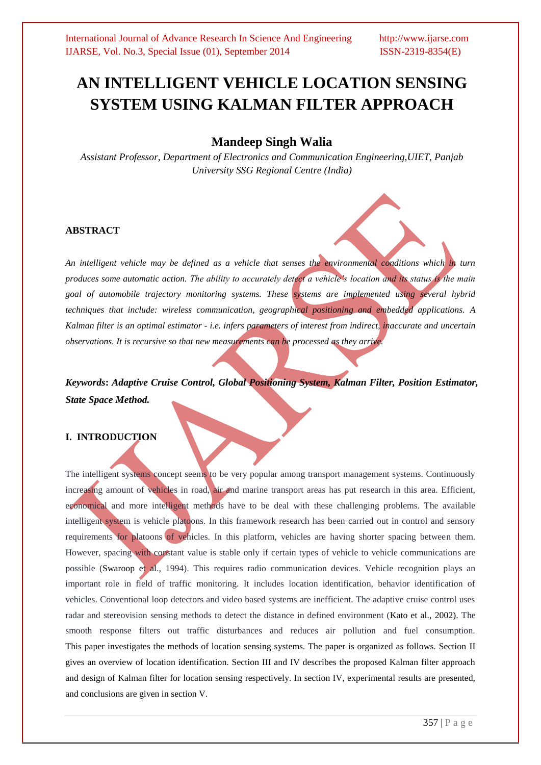# **AN INTELLIGENT VEHICLE LOCATION SENSING SYSTEM USING KALMAN FILTER APPROACH**

# **Mandeep Singh Walia**

*Assistant Professor, Department of Electronics and Communication Engineering,UIET, Panjab University SSG Regional Centre (India)*

# **ABSTRACT**

*An intelligent vehicle may be defined as a vehicle that senses the environmental conditions which in turn produces some automatic action. The ability to accurately detect a vehicle's location and its status is the main goal of automobile trajectory monitoring systems. These systems are implemented using several hybrid techniques that include: wireless communication, geographical positioning and embedded applications. A Kalman filter is an optimal estimator - i.e. infers parameters of interest from indirect, inaccurate and uncertain observations. It is recursive so that new measurements can be processed as they arrive.* 

*Keywords***:** *Adaptive Cruise Control, Global Positioning System, Kalman Filter, Position Estimator, State Space Method.*

# **I. INTRODUCTION**

The intelligent systems concept seems to be very popular among transport management systems. Continuously increasing amount of vehicles in road, air and marine transport areas has put research in this area. Efficient, economical and more intelligent methods have to be deal with these challenging problems. The available intelligent system is vehicle platoons. In this framework research has been carried out in control and sensory requirements for platoons of vehicles. In this platform, vehicles are having shorter spacing between them. However, spacing with constant value is stable only if certain types of vehicle to vehicle communications are possible (Swaroop et al., 1994). This requires radio communication devices. Vehicle recognition plays an important role in field of traffic monitoring. It includes location identification, behavior identification of vehicles. Conventional loop detectors and video based systems are inefficient. The adaptive cruise control uses radar and stereovision sensing methods to detect the distance in defined environment (Kato et al., 2002). The smooth response filters out traffic disturbances and reduces air pollution and fuel consumption. This paper investigates the methods of location sensing systems. The paper is organized as follows. Section II gives an overview of location identification. Section III and IV describes the proposed Kalman filter approach and design of Kalman filter for location sensing respectively. In section IV, experimental results are presented, and conclusions are given in section V.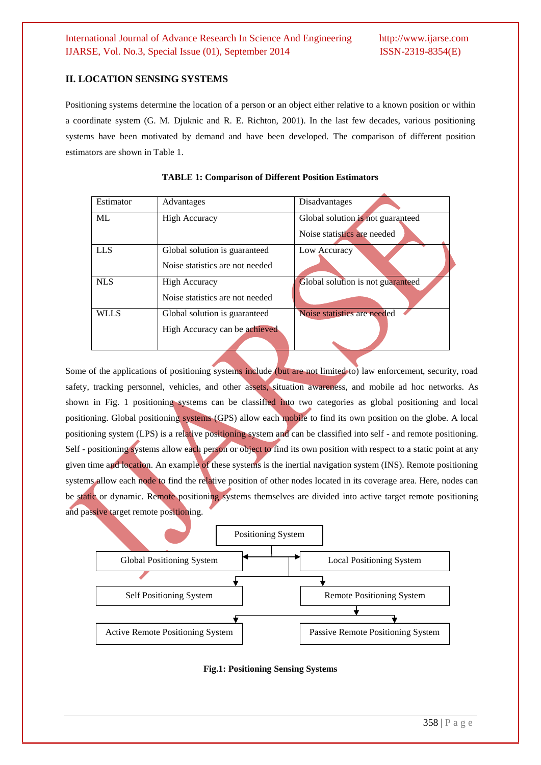### **II. LOCATION SENSING SYSTEMS**

Positioning systems determine the location of a person or an object either relative to a known position or within a coordinate system (G. M. Djuknic and R. E. Richton, 2001). In the last few decades, various positioning systems have been motivated by demand and have been developed. The comparison of different position estimators are shown in Table 1.

| Estimator   | Advantages                      | Disadvantages                     |
|-------------|---------------------------------|-----------------------------------|
| ML          | <b>High Accuracy</b>            | Global solution is not guaranteed |
|             |                                 | Noise statistics are needed       |
| <b>LLS</b>  | Global solution is guaranteed   | Low Accuracy                      |
|             | Noise statistics are not needed |                                   |
| <b>NLS</b>  | <b>High Accuracy</b>            | Global solution is not guaranteed |
|             | Noise statistics are not needed |                                   |
| <b>WLLS</b> | Global solution is guaranteed   | Noise statistics are needed       |
|             | High Accuracy can be achieved   |                                   |
|             |                                 |                                   |

**TABLE 1: Comparison of Different Position Estimators**

Some of the applications of positioning systems include (but are not limited to) law enforcement, security, road safety, tracking personnel, vehicles, and other assets, situation awareness, and mobile ad hoc networks. As shown in Fig. 1 positioning systems can be classified into two categories as global positioning and local positioning. Global positioning systems (GPS) allow each mobile to find its own position on the globe. A local positioning system (LPS) is a relative positioning system and can be classified into self - and remote positioning. Self - positioning systems allow each person or object to find its own position with respect to a static point at any given time and location. An example of these systems is the inertial navigation system (INS). Remote positioning systems allow each node to find the relative position of other nodes located in its coverage area. Here, nodes can be static or dynamic. Remote positioning systems themselves are divided into active target remote positioning and passive target remote positioning.



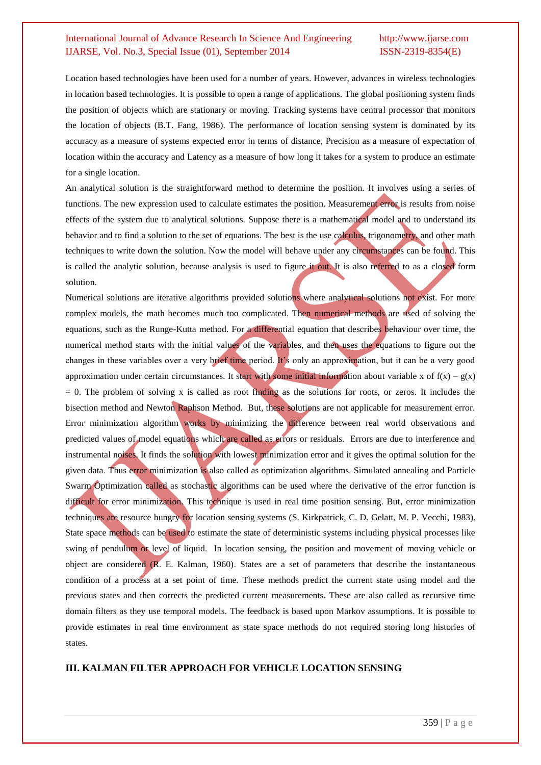Location based technologies have been used for a number of years. However, advances in wireless technologies in location based technologies. It is possible to open a range of applications. The global positioning system finds the position of objects which are stationary or moving. Tracking systems have central processor that monitors the location of objects (B.T. Fang, 1986). The performance of location sensing system is dominated by its accuracy as a measure of systems expected error in terms of distance, Precision as a measure of expectation of location within the accuracy and Latency as a measure of how long it takes for a system to produce an estimate for a single location.

An analytical solution is the straightforward method to determine the position. It involves using a series of functions. The new expression used to calculate estimates the position. Measurement error is results from noise effects of the system due to analytical solutions. Suppose there is a mathematical model and to understand its behavior and to find a solution to the set of equations. The best is the use calculus, trigonometry, and other math techniques to write down the solution. Now the model will behave under any circumstances can be found. This is called the analytic solution, because analysis is used to figure it out. It is also referred to as a closed form solution.

Numerical solutions are iterative algorithms provided solutions where analytical solutions not exist. For more complex models, the math becomes much too complicated. Then numerical methods are used of solving the equations, such as the [Runge-Kutta method.](http://www.myphysicslab.com/runge_kutta.html) For a differential equation that describes behaviour over time, the numerical method starts with the initial values of the variables, and then uses the equations to figure out the changes in these variables over a very brief time period. It's only an approximation, but it can be a very good approximation under certain circumstances. It start with some initial information about variable x of  $f(x) - g(x)$  $= 0$ . The problem of solving x is called as root finding as the solutions for roots, or zeros. It includes the bisection method and Newton Raphson Method. But, these solutions are not applicable for measurement error. Error minimization algorithm works by minimizing the difference between real world observations and predicted values of model equations which are called as errors or residuals. Errors are due to interference and instrumental noises. It finds the solution with lowest minimization error and it gives the optimal solution for the given data. Thus error minimization is also called as optimization algorithms. Simulated annealing and Particle Swarm Optimization called as stochastic algorithms can be used where the derivative of the error function is difficult for error minimization. This technique is used in real time position sensing. But, error minimization techniques are resource hungry for location sensing systems (S. Kirkpatrick, C. D. Gelatt, M. P. Vecchi, 1983). State space methods can be used to estimate the state of deterministic systems including physical processes like swing of pendulum or level of liquid. In location sensing, the position and movement of moving vehicle or object are considered (R. E. Kalman, 1960). States are a set of parameters that describe the instantaneous condition of a process at a set point of time. These methods predict the current state using model and the previous states and then corrects the predicted current measurements. These are also called as recursive time domain filters as they use temporal models. The feedback is based upon Markov assumptions. It is possible to provide estimates in real time environment as state space methods do not required storing long histories of states.

### **III. KALMAN FILTER APPROACH FOR VEHICLE LOCATION SENSING**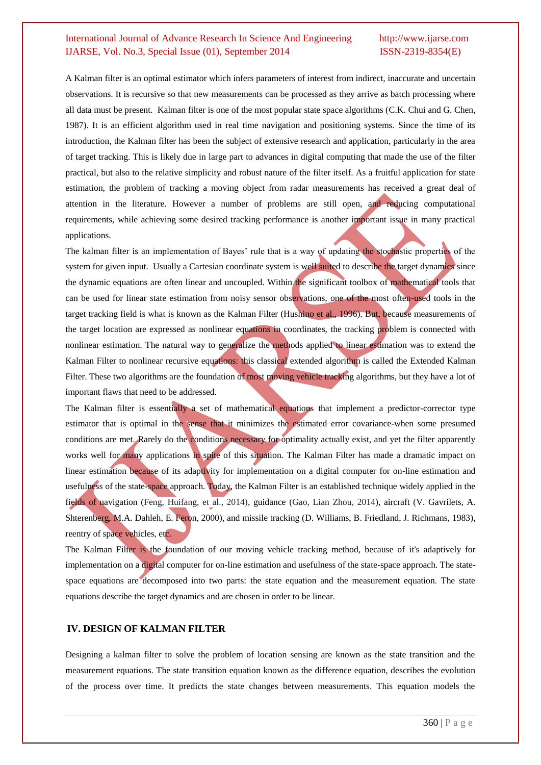A Kalman filter is an optimal estimator which infers parameters of interest from indirect, inaccurate and uncertain observations. It is recursive so that new measurements can be processed as they arrive as batch processing where all data must be present. Kalman filter is one of the most popular state space algorithms (C.K. Chui and G. Chen, 1987). It is an efficient algorithm used in real time navigation and positioning systems. Since the time of its introduction, the Kalman filter has been the subject of extensive research and application, particularly in the area of target tracking. This is likely due in large part to advances in digital computing that made the use of the filter practical, but also to the relative simplicity and robust nature of the filter itself. As a fruitful application for state estimation, the problem of tracking a moving object from radar measurements has received a great deal of attention in the literature. However a number of problems are still open, and reducing computational requirements, while achieving some desired tracking performance is another important issue in many practical applications.

The kalman filter is an implementation of Bayes' rule that is a way of updating the stochastic properties of the system for given input. Usually a Cartesian coordinate system is well suited to describe the target dynamics since the dynamic equations are often linear and uncoupled. Within the significant toolbox of mathematical tools that can be used for linear state estimation from noisy sensor observations, one of the most often-used tools in the target tracking field is what is known as the Kalman Filter (Hushino et al., 1996). But, because measurements of the target location are expressed as nonlinear equations in coordinates, the tracking problem is connected with nonlinear estimation. The natural way to generalize the methods applied to linear estimation was to extend the Kalman Filter to nonlinear recursive equations: this classical extended algorithm is called the Extended Kalman Filter. These two algorithms are the foundation of most moving vehicle tracking algorithms, but they have a lot of important flaws that need to be addressed.

The Kalman filter is essentially a set of mathematical equations that implement a predictor-corrector type estimator that is optimal in the sense that it minimizes the estimated error covariance-when some presumed conditions are met. Rarely do the conditions necessary for optimality actually exist, and yet the filter apparently works well for many applications in spite of this situation. The Kalman Filter has made a dramatic impact on linear estimation because of its adaptivity for implementation on a digital computer for on-line estimation and usefulness of the state-space approach. Today, the Kalman Filter is an established technique widely applied in the fields of navigation (Feng, Huifang, et al., 2014), guidance (Gao, Lian Zhou, 2014), aircraft (V. Gavrilets, A. Shterenberg, M.A. Dahleh, E. Feron, 2000), and missile tracking (D. Williams, B. Friedland, J. Richmans, 1983), reentry of space vehicles, etc.

The Kalman Filter is the foundation of our moving vehicle tracking method, because of it's adaptively for implementation on a digital computer for on-line estimation and usefulness of the state-space approach. The statespace equations are decomposed into two parts: the state equation and the measurement equation. The state equations describe the target dynamics and are chosen in order to be linear.

### **IV. DESIGN OF KALMAN FILTER**

Designing a kalman filter to solve the problem of location sensing are known as the state transition and the measurement equations. The state transition equation known as the difference equation, describes the evolution of the process over time. It predicts the state changes between measurements. This equation models the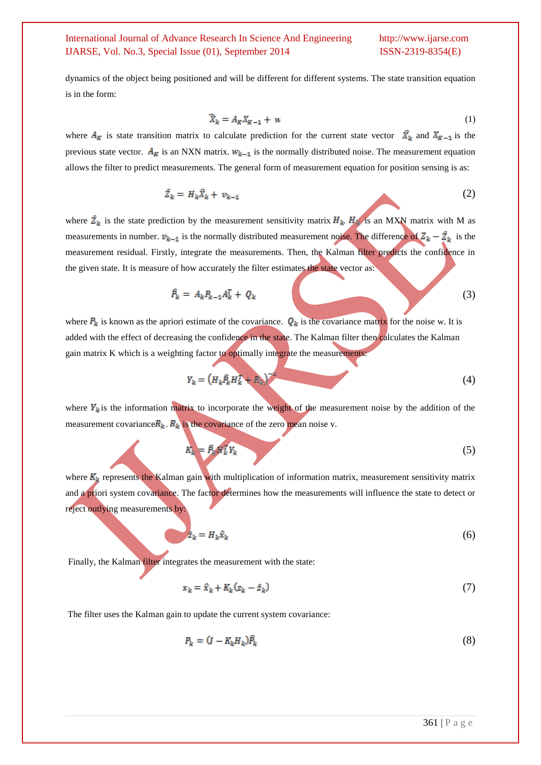dynamics of the object being positioned and will be different for different systems. The state transition equation is in the form:

$$
\tilde{X}_k = A_K X_{K-1} + w \tag{1}
$$

where  $A_K$  is state transition matrix to calculate prediction for the current state vector  $\hat{X}_k$  and  $X_{K-1}$  is the previous state vector.  $A_K$  is an NXN matrix.  $W_{k-1}$  is the normally distributed noise. The measurement equation allows the filter to predict measurements. The general form of measurement equation for position sensing is as:

$$
\hat{Z}_k = H_k \hat{X}_k + v_{k-1} \tag{2}
$$

where  $\hat{Z}_k$  is the state prediction by the measurement sensitivity matrix  $H_k$ .  $H_k$  is an MXN matrix with M as measurements in number.  $v_{k-1}$  is the normally distributed measurement noise. The difference of  $Z_k - \hat{Z}_k$  is the measurement residual. Firstly, integrate the measurements. Then, the Kalman filter predicts the confidence in the given state. It is measure of how accurately the filter estimates the state vector as:

$$
\hat{P}_k = A_k P_{k-1} A_k^T + Q_k \tag{3}
$$

where  $P_k$  is known as the apriori estimate of the covariance.  $Q_k$  is the covariance matrix for the noise w. It is added with the effect of decreasing the confidence in the state. The Kalman filter then calculates the Kalman gain matrix K which is a weighting factor to optimally integrate the measurements:

$$
Y_k = \left(H_k \hat{P}_k H_k^T + \hat{R}_k\right)^{-1} \tag{4}
$$

where  $Y_k$  is the information matrix to incorporate the weight of the measurement noise by the addition of the measurement covariance  $R_k$ .  $R_k$  is the covariance of the zero mean noise v.

$$
K_k = \hat{P}_k W_k^T Y_k \tag{5}
$$

where  $K_k$  represents the Kalman gain with multiplication of information matrix, measurement sensitivity matrix and a priori system covariance. The factor determines how the measurements will influence the state to detect or reject outlying measurements by:

$$
\hat{z}_k = H_k \hat{x}_k \tag{6}
$$

Finally, the Kalman filter integrates the measurement with the state:

$$
x_k = \hat{x}_k + K_k (z_k - \hat{z}_k) \tag{7}
$$

The filter uses the Kalman gain to update the current system covariance:

$$
P_k = (I - K_k H_k) \hat{P}_k \tag{8}
$$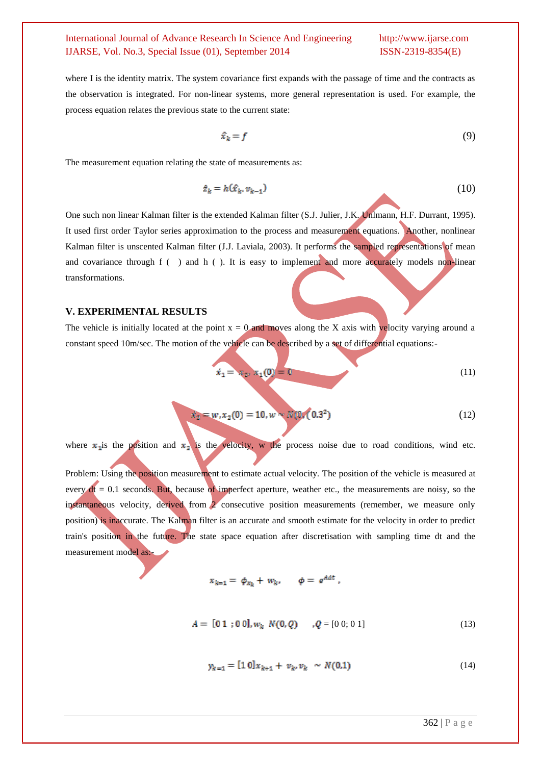where I is the identity matrix. The system covariance first expands with the passage of time and the contracts as the observation is integrated. For non-linear systems, more general representation is used. For example, the process equation relates the previous state to the current state:

$$
\hat{x}_k = f \tag{9}
$$

The measurement equation relating the state of measurements as:

$$
\hat{z}_k = h(\hat{x}_k, v_{k-1})
$$
\n(10)

One such non linear Kalman filter is the extended Kalman filter (S.J. Julier, J.K. Unlmann, H.F. Durrant, 1995). It used first order Taylor series approximation to the process and measurement equations. Another, nonlinear Kalman filter is unscented Kalman filter (J.J. Laviala, 2003). It performs the sampled representations of mean and covariance through f ( ) and h ( ). It is easy to implement and more accurately models non-linear transformations.

### **V. EXPERIMENTAL RESULTS**

The vehicle is initially located at the point  $x = 0$  and moves along the X axis with velocity varying around a constant speed 10m/sec. The motion of the vehicle can be described by a set of differential equations:-

$$
\dot{x}_1 = x_2, x_1(0) = 0 \tag{11}
$$

$$
x_2 = w, x_2(0) = 10, w \sim N(0, (0.3^2)
$$
 (12)

where  $x_1$  is the position and  $x_2$  is the velocity, w the process noise due to road conditions, wind etc.

Problem: Using the position measurement to estimate actual velocity. The position of the vehicle is measured at every  $dt = 0.1$  seconds. But, because of imperfect aperture, weather etc., the measurements are noisy, so the instantaneous velocity, derived from 2 consecutive position measurements (remember, we measure only position) is inaccurate. The Kalman filter is an accurate and smooth estimate for the velocity in order to predict train's position in the future. The state space equation after discretisation with sampling time dt and the measurement model as:-

$$
x_{k=1} = \phi_{x_k} + w_k, \qquad \phi = e^{A \Delta t}
$$

$$
A = [0 1; 0 0], w_k \ N(0, Q) \qquad Q = [0 0; 0 1]
$$
 (13)

$$
y_{k=1} = [1 \ 0]x_{k+1} + v_k, v_k \sim N(0,1) \tag{14}
$$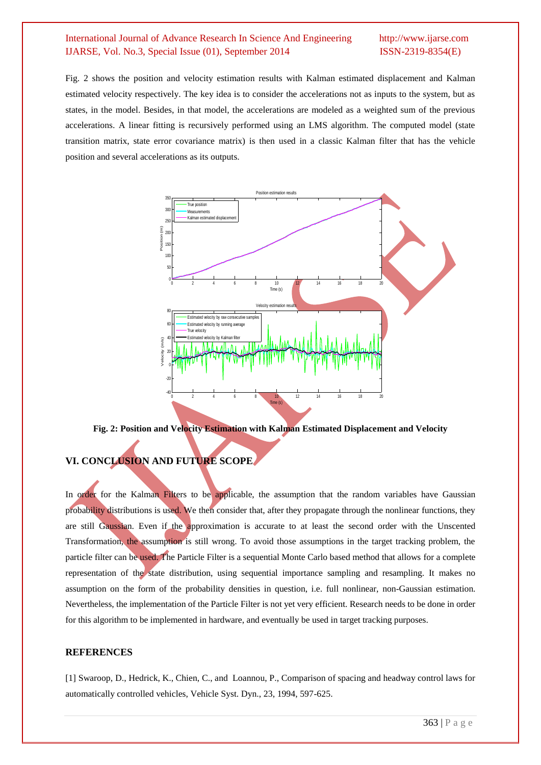Fig. 2 shows the position and velocity estimation results with Kalman estimated displacement and Kalman estimated velocity respectively. The key idea is to consider the accelerations not as inputs to the system, but as states, in the model. Besides, in that model, the accelerations are modeled as a weighted sum of the previous accelerations. A linear fitting is recursively performed using an LMS algorithm. The computed model (state transition matrix, state error covariance matrix) is then used in a classic Kalman filter that has the vehicle position and several accelerations as its outputs.



**Fig. 2: Position and Velocity Estimation with Kalman Estimated Displacement and Velocity**

# **VI. CONCLUSION AND FUTURE SCOPE**

In order for the Kalman Filters to be applicable, the assumption that the random variables have Gaussian probability distributions is used. We then consider that, after they propagate through the nonlinear functions, they are still Gaussian. Even if the approximation is accurate to at least the second order with the Unscented Transformation, the assumption is still wrong. To avoid those assumptions in the target tracking problem, the particle filter can be used. The Particle Filter is a sequential Monte Carlo based method that allows for a complete representation of the state distribution, using sequential importance sampling and resampling. It makes no assumption on the form of the probability densities in question, i.e. full nonlinear, non-Gaussian estimation. Nevertheless, the implementation of the Particle Filter is not yet very efficient. Research needs to be done in order for this algorithm to be implemented in hardware, and eventually be used in target tracking purposes.

### **REFERENCES**

[1] Swaroop, D., Hedrick, K., Chien, C., and Loannou, P., Comparison of spacing and headway control laws for automatically controlled vehicles, Vehicle Syst. Dyn., 23, 1994, 597-625.